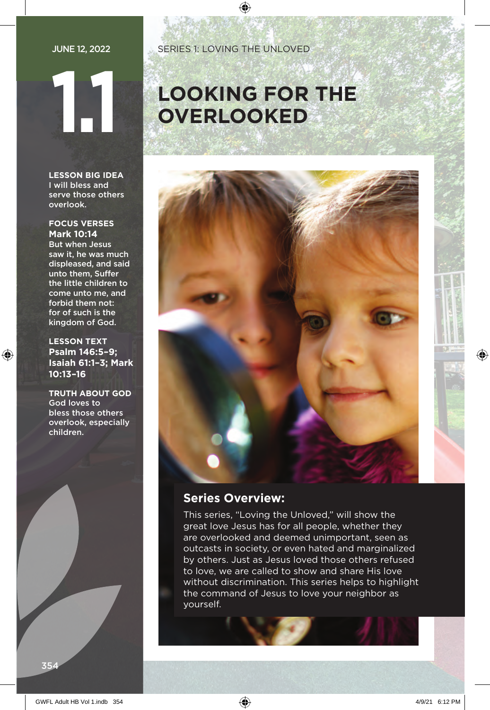**LESSON BIG IDEA** I will bless and serve those others overlook.

#### **FOCUS VERSES Mark 10:14**

But when Jesus saw it, he was much displeased, and said unto them, Suffer the little children to come unto me, and forbid them not: for of such is the kingdom of God.

**LESSON TEXT Psalm 146:5–9; Isaiah 61:1–3; Mark 10:13–16**

**TRUTH ABOUT GOD** God loves to bless those others overlook, especially children.

# **1.1 LOOKING FOR THE OVERLOOKED**



### **Series Overview:**

This series, "Loving the Unloved," will show the great love Jesus has for all people, whether they are overlooked and deemed unimportant, seen as outcasts in society, or even hated and marginalized by others. Just as Jesus loved those others refused to love, we are called to show and share His love without discrimination. This series helps to highlight the command of Jesus to love your neighbor as yourself.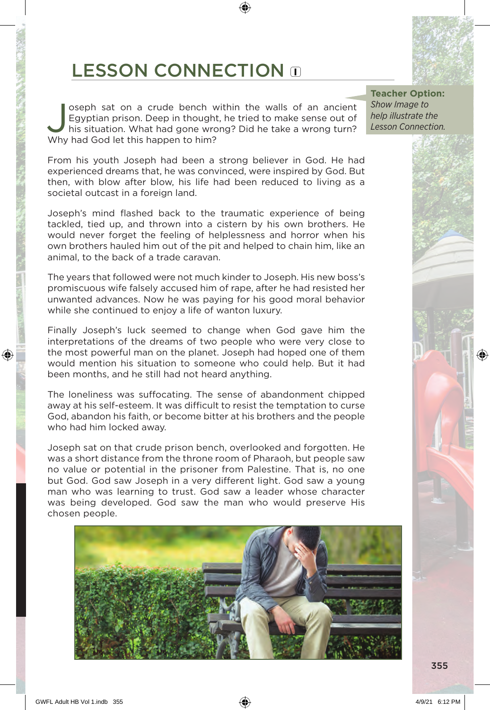# LESSON CONNECTION O

Soseph sat on a crude bench within the walls of an ancient Egyptian prison. Deep in thought, he tried to make sense out of his situation. What had gone wrong? Did he take a wrong turn? Egyptian prison. Deep in thought, he tried to make sense out of Why had God let this happen to him?

From his youth Joseph had been a strong believer in God. He had experienced dreams that, he was convinced, were inspired by God. But then, with blow after blow, his life had been reduced to living as a societal outcast in a foreign land.

Joseph's mind flashed back to the traumatic experience of being tackled, tied up, and thrown into a cistern by his own brothers. He would never forget the feeling of helplessness and horror when his own brothers hauled him out of the pit and helped to chain him, like an animal, to the back of a trade caravan.

The years that followed were not much kinder to Joseph. His new boss's promiscuous wife falsely accused him of rape, after he had resisted her unwanted advances. Now he was paying for his good moral behavior while she continued to enjoy a life of wanton luxury.

Finally Joseph's luck seemed to change when God gave him the interpretations of the dreams of two people who were very close to the most powerful man on the planet. Joseph had hoped one of them would mention his situation to someone who could help. But it had been months, and he still had not heard anything.

The loneliness was suffocating. The sense of abandonment chipped away at his self-esteem. It was difficult to resist the temptation to curse God, abandon his faith, or become bitter at his brothers and the people who had him locked away.

Joseph sat on that crude prison bench, overlooked and forgotten. He was a short distance from the throne room of Pharaoh, but people saw no value or potential in the prisoner from Palestine. That is, no one but God. God saw Joseph in a very different light. God saw a young man who was learning to trust. God saw a leader whose character was being developed. God saw the man who would preserve His chosen people.



**Teacher Option:** *Show Image to help illustrate the Lesson Connection.*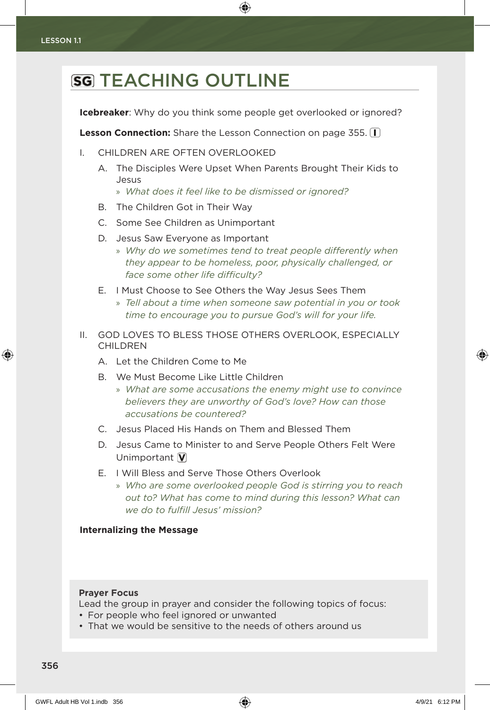## **SG TEACHING OUTLINE**

**Icebreaker**: Why do you think some people get overlooked or ignored?

**Lesson Connection:** Share the Lesson Connection on page 355.  $\Pi$ 

- I. CHILDREN ARE OFTEN OVERLOOKED
	- A. The Disciples Were Upset When Parents Brought Their Kids to Jesus
		- » *What does it feel like to be dismissed or ignored?*
	- B. The Children Got in Their Way
	- C. Some See Children as Unimportant
	- D. Jesus Saw Everyone as Important
		- » *Why do we sometimes tend to treat people differently when they appear to be homeless, poor, physically challenged, or face some other life difficulty?*
	- E. I Must Choose to See Others the Way Jesus Sees Them
		- » *Tell about a time when someone saw potential in you or took time to encourage you to pursue God's will for your life.*
- II. GOD LOVES TO BLESS THOSE OTHERS OVERLOOK, ESPECIALLY CHILDREN
	- A. Let the Children Come to Me
	- B. We Must Become Like Little Children
		- » *What are some accusations the enemy might use to convince believers they are unworthy of God's love? How can those accusations be countered?*
	- C. Jesus Placed His Hands on Them and Blessed Them
	- D. Jesus Came to Minister to and Serve People Others Felt Were Unimportant  $\bar{V}$
	- E. I Will Bless and Serve Those Others Overlook
		- » *Who are some overlooked people God is stirring you to reach out to? What has come to mind during this lesson? What can we do to fulfill Jesus' mission?*

#### **Internalizing the Message**

#### **Prayer Focus**

Lead the group in prayer and consider the following topics of focus:

- For people who feel ignored or unwanted
- That we would be sensitive to the needs of others around us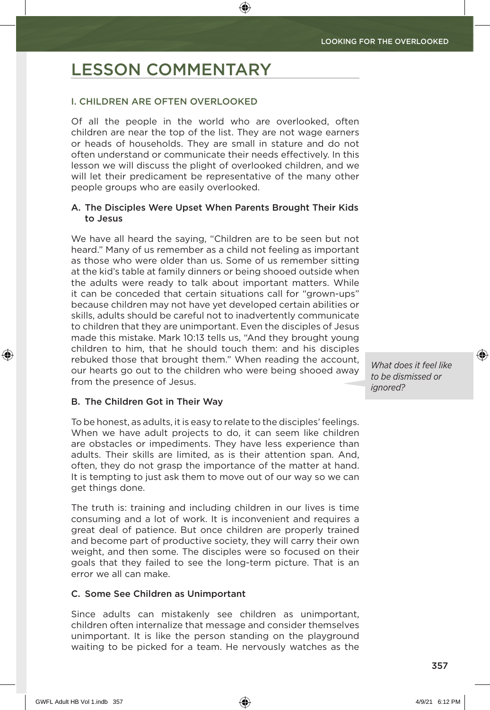### LESSON COMMENTARY

#### I. CHILDREN ARE OFTEN OVERLOOKED

Of all the people in the world who are overlooked, often children are near the top of the list. They are not wage earners or heads of households. They are small in stature and do not often understand or communicate their needs effectively. In this lesson we will discuss the plight of overlooked children, and we will let their predicament be representative of the many other people groups who are easily overlooked.

#### A. The Disciples Were Upset When Parents Brought Their Kids to Jesus

We have all heard the saying, "Children are to be seen but not heard." Many of us remember as a child not feeling as important as those who were older than us. Some of us remember sitting at the kid's table at family dinners or being shooed outside when the adults were ready to talk about important matters. While it can be conceded that certain situations call for "grown-ups" because children may not have yet developed certain abilities or skills, adults should be careful not to inadvertently communicate to children that they are unimportant. Even the disciples of Jesus made this mistake. Mark 10:13 tells us, "And they brought young children to him, that he should touch them: and his disciples rebuked those that brought them." When reading the account, our hearts go out to the children who were being shooed away from the presence of Jesus.

*What does it feel like to be dismissed or ignored?*

#### B. The Children Got in Their Way

To be honest, as adults, it is easy to relate to the disciples' feelings. When we have adult projects to do, it can seem like children are obstacles or impediments. They have less experience than adults. Their skills are limited, as is their attention span. And, often, they do not grasp the importance of the matter at hand. It is tempting to just ask them to move out of our way so we can get things done.

The truth is: training and including children in our lives is time consuming and a lot of work. It is inconvenient and requires a great deal of patience. But once children are properly trained and become part of productive society, they will carry their own weight, and then some. The disciples were so focused on their goals that they failed to see the long-term picture. That is an error we all can make.

#### C. Some See Children as Unimportant

Since adults can mistakenly see children as unimportant, children often internalize that message and consider themselves unimportant. It is like the person standing on the playground waiting to be picked for a team. He nervously watches as the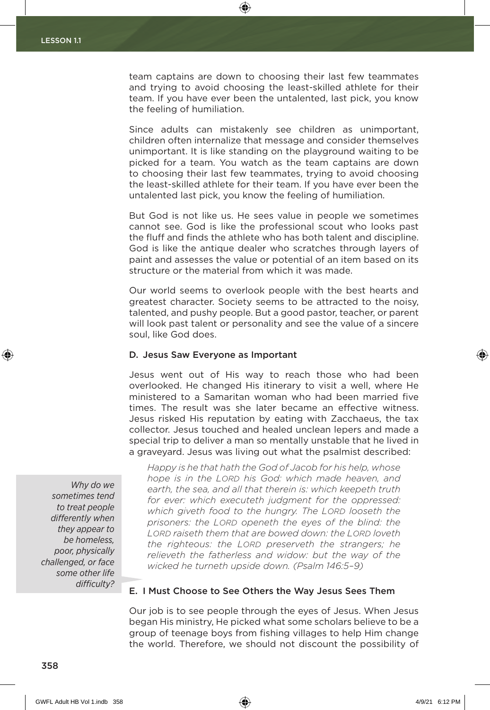team captains are down to choosing their last few teammates and trying to avoid choosing the least-skilled athlete for their team. If you have ever been the untalented, last pick, you know the feeling of humiliation.

Since adults can mistakenly see children as unimportant, children often internalize that message and consider themselves unimportant. It is like standing on the playground waiting to be picked for a team. You watch as the team captains are down to choosing their last few teammates, trying to avoid choosing the least-skilled athlete for their team. If you have ever been the untalented last pick, you know the feeling of humiliation.

But God is not like us. He sees value in people we sometimes cannot see. God is like the professional scout who looks past the fluff and finds the athlete who has both talent and discipline. God is like the antique dealer who scratches through layers of paint and assesses the value or potential of an item based on its structure or the material from which it was made.

Our world seems to overlook people with the best hearts and greatest character. Society seems to be attracted to the noisy, talented, and pushy people. But a good pastor, teacher, or parent will look past talent or personality and see the value of a sincere soul, like God does.

#### D. Jesus Saw Everyone as Important

Jesus went out of His way to reach those who had been overlooked. He changed His itinerary to visit a well, where He ministered to a Samaritan woman who had been married five times. The result was she later became an effective witness. Jesus risked His reputation by eating with Zacchaeus, the tax collector. Jesus touched and healed unclean lepers and made a special trip to deliver a man so mentally unstable that he lived in a graveyard. Jesus was living out what the psalmist described:

*Why do we sometimes tend to treat people differently when they appear to be homeless, poor, physically challenged, or face some other life difficulty?*

*Happy is he that hath the God of Jacob for his help, whose hope is in the Lord his God: which made heaven, and earth, the sea, and all that therein is: which keepeth truth for ever: which executeth judgment for the oppressed: which giveth food to the hungry. The Lord looseth the prisoners: the Lord openeth the eyes of the blind: the Lord raiseth them that are bowed down: the Lord loveth the righteous: the Lord preserveth the strangers; he relieveth the fatherless and widow: but the way of the wicked he turneth upside down. (Psalm 146:5–9)*

#### E. I Must Choose to See Others the Way Jesus Sees Them

Our job is to see people through the eyes of Jesus. When Jesus began His ministry, He picked what some scholars believe to be a group of teenage boys from fishing villages to help Him change the world. Therefore, we should not discount the possibility of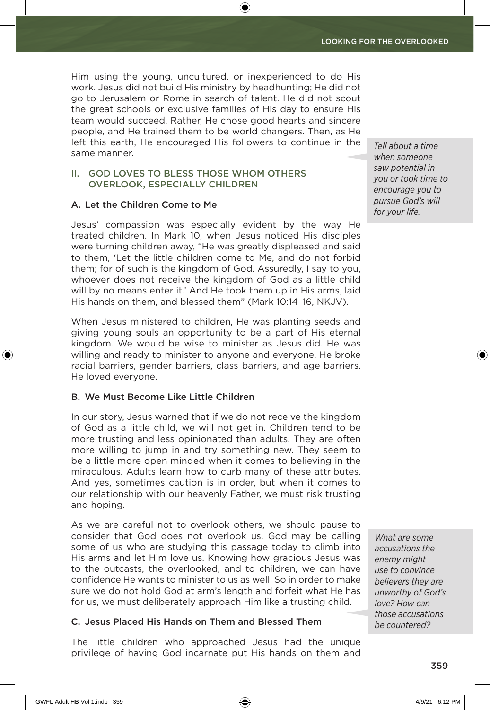Him using the young, uncultured, or inexperienced to do His work. Jesus did not build His ministry by headhunting; He did not go to Jerusalem or Rome in search of talent. He did not scout the great schools or exclusive families of His day to ensure His team would succeed. Rather, He chose good hearts and sincere people, and He trained them to be world changers. Then, as He left this earth, He encouraged His followers to continue in the same manner.

#### II. GOD LOVES TO BLESS THOSE WHOM OTHERS OVERLOOK, ESPECIALLY CHILDREN

#### A. Let the Children Come to Me

Jesus' compassion was especially evident by the way He treated children. In Mark 10, when Jesus noticed His disciples were turning children away, "He was greatly displeased and said to them, 'Let the little children come to Me, and do not forbid them; for of such is the kingdom of God. Assuredly, I say to you, whoever does not receive the kingdom of God as a little child will by no means enter it.' And He took them up in His arms, laid His hands on them, and blessed them" (Mark 10:14–16, NKJV).

When Jesus ministered to children, He was planting seeds and giving young souls an opportunity to be a part of His eternal kingdom. We would be wise to minister as Jesus did. He was willing and ready to minister to anyone and everyone. He broke racial barriers, gender barriers, class barriers, and age barriers. He loved everyone.

#### B. We Must Become Like Little Children

In our story, Jesus warned that if we do not receive the kingdom of God as a little child, we will not get in. Children tend to be more trusting and less opinionated than adults. They are often more willing to jump in and try something new. They seem to be a little more open minded when it comes to believing in the miraculous. Adults learn how to curb many of these attributes. And yes, sometimes caution is in order, but when it comes to our relationship with our heavenly Father, we must risk trusting and hoping.

As we are careful not to overlook others, we should pause to consider that God does not overlook us. God may be calling some of us who are studying this passage today to climb into His arms and let Him love us. Knowing how gracious Jesus was to the outcasts, the overlooked, and to children, we can have confidence He wants to minister to us as well. So in order to make sure we do not hold God at arm's length and forfeit what He has for us, we must deliberately approach Him like a trusting child.

#### C. Jesus Placed His Hands on Them and Blessed Them

The little children who approached Jesus had the unique privilege of having God incarnate put His hands on them and *Tell about a time when someone saw potential in you or took time to encourage you to pursue God's will for your life.*

*What are some accusations the enemy might use to convince believers they are unworthy of God's love? How can those accusations be countered?*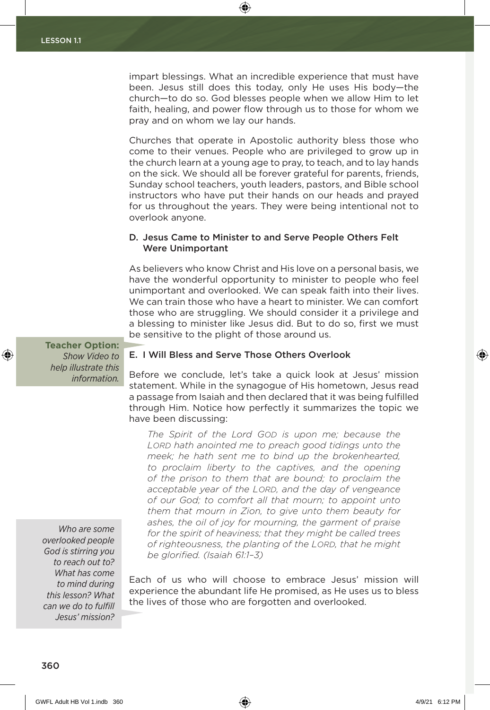impart blessings. What an incredible experience that must have been. Jesus still does this today, only He uses His body—the church—to do so. God blesses people when we allow Him to let faith, healing, and power flow through us to those for whom we pray and on whom we lay our hands.

Churches that operate in Apostolic authority bless those who come to their venues. People who are privileged to grow up in the church learn at a young age to pray, to teach, and to lay hands on the sick. We should all be forever grateful for parents, friends, Sunday school teachers, youth leaders, pastors, and Bible school instructors who have put their hands on our heads and prayed for us throughout the years. They were being intentional not to overlook anyone.

#### D. Jesus Came to Minister to and Serve People Others Felt Were Unimportant

As believers who know Christ and His love on a personal basis, we have the wonderful opportunity to minister to people who feel unimportant and overlooked. We can speak faith into their lives. We can train those who have a heart to minister. We can comfort those who are struggling. We should consider it a privilege and a blessing to minister like Jesus did. But to do so, first we must be sensitive to the plight of those around us.

**Teacher Option:** *Show Video to help illustrate this information.*

#### E. I Will Bless and Serve Those Others Overlook

Before we conclude, let's take a quick look at Jesus' mission statement. While in the synagogue of His hometown, Jesus read a passage from Isaiah and then declared that it was being fulfilled through Him. Notice how perfectly it summarizes the topic we have been discussing:

*The Spirit of the Lord God is upon me; because the Lord hath anointed me to preach good tidings unto the meek; he hath sent me to bind up the brokenhearted, to proclaim liberty to the captives, and the opening of the prison to them that are bound; to proclaim the acceptable year of the Lord, and the day of vengeance of our God; to comfort all that mourn; to appoint unto them that mourn in Zion, to give unto them beauty for ashes, the oil of joy for mourning, the garment of praise for the spirit of heaviness; that they might be called trees of righteousness, the planting of the Lord, that he might be glorified. (Isaiah 61:1–3)*

Each of us who will choose to embrace Jesus' mission will experience the abundant life He promised, as He uses us to bless the lives of those who are forgotten and overlooked.

*Who are some overlooked people God is stirring you to reach out to? What has come to mind during this lesson? What can we do to fulfill Jesus' mission?*